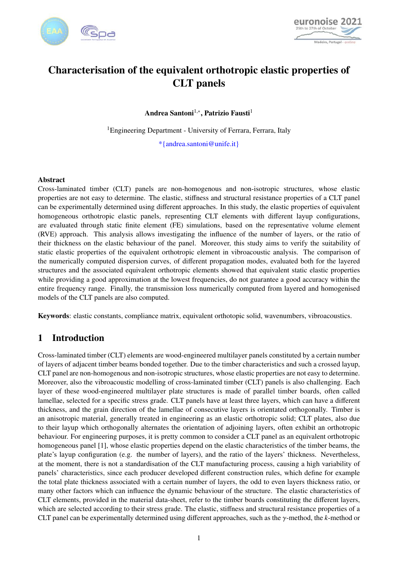



# Characterisation of the equivalent orthotropic elastic properties of CLT panels

Andrea Santoni $^{1,\ast},$  Patrizio Fausti $^1$ 

<sup>1</sup>Engineering Department - University of Ferrara, Ferrara, Italy

\*{andrea.santoni@unife.it}

#### Abstract

Cross-laminated timber (CLT) panels are non-homogenous and non-isotropic structures, whose elastic properties are not easy to determine. The elastic, stiffness and structural resistance properties of a CLT panel can be experimentally determined using different approaches. In this study, the elastic properties of equivalent homogeneous orthotropic elastic panels, representing CLT elements with different layup configurations, are evaluated through static finite element (FE) simulations, based on the representative volume element (RVE) approach. This analysis allows investigating the influence of the number of layers, or the ratio of their thickness on the elastic behaviour of the panel. Moreover, this study aims to verify the suitability of static elastic properties of the equivalent orthotropic element in vibroacoustic analysis. The comparison of the numerically computed dispersion curves, of different propagation modes, evaluated both for the layered structures and the associated equivalent orthotropic elements showed that equivalent static elastic properties while providing a good approximation at the lowest frequencies, do not guarantee a good accuracy within the entire frequency range. Finally, the transmission loss numerically computed from layered and homogenised models of the CLT panels are also computed.

Keywords: elastic constants, compliance matrix, equivalent orthotopic solid, wavenumbers, vibroacoustics.

# 1 Introduction

Cross-laminated timber (CLT) elements are wood-engineered multilayer panels constituted by a certain number of layers of adjacent timber beams bonded together. Due to the timber characteristics and such a crossed layup, CLT panel are non-homogenous and non-isotropic structures, whose elastic properties are not easy to determine. Moreover, also the vibroacoustic modelling of cross-laminated timber (CLT) panels is also challenging. Each layer of these wood-engineered multilayer plate structures is made of parallel timber boards, often called lamellae, selected for a specific stress grade. CLT panels have at least three layers, which can have a different thickness, and the grain direction of the lamellae of consecutive layers is orientated orthogonally. Timber is an anisotropic material, generally treated in engineering as an elastic orthotropic solid; CLT plates, also due to their layup which orthogonally alternates the orientation of adjoining layers, often exhibit an orthotropic behaviour. For engineering purposes, it is pretty common to consider a CLT panel as an equivalent orthotropic homogeneous panel [\[1\]](#page-6-0), whose elastic properties depend on the elastic characteristics of the timber beams, the plate's layup configuration (e.g. the number of layers), and the ratio of the layers' thickness. Nevertheless, at the moment, there is not a standardisation of the CLT manufacturing process, causing a high variability of panels' characteristics, since each producer developed different construction rules, which define for example the total plate thickness associated with a certain number of layers, the odd to even layers thickness ratio, or many other factors which can influence the dynamic behaviour of the structure. The elastic characteristics of CLT elements, provided in the material data-sheet, refer to the timber boards constituting the different layers, which are selected according to their stress grade. The elastic, stiffness and structural resistance properties of a CLT panel can be experimentally determined using different approaches, such as the γ-method, the *<sup>k</sup>*-method or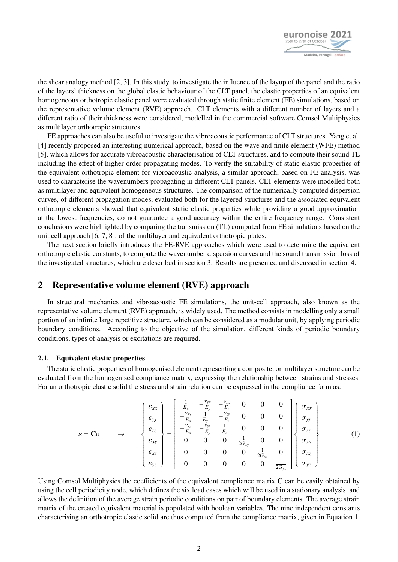

the shear analogy method [\[2,](#page-6-1) [3\]](#page-6-2). In this study, to investigate the influence of the layup of the panel and the ratio of the layers' thickness on the global elastic behaviour of the CLT panel, the elastic properties of an equivalent homogeneous orthotropic elastic panel were evaluated through static finite element (FE) simulations, based on the representative volume element (RVE) approach. CLT elements with a different number of layers and a different ratio of their thickness were considered, modelled in the commercial software Comsol Multiphysics as multilayer orthotropic structures.

FE approaches can also be useful to investigate the vibroacoustic performance of CLT structures. Yang et al. [\[4\]](#page-6-3) recently proposed an interesting numerical approach, based on the wave and finite element (WFE) method [\[5\]](#page-6-4), which allows for accurate vibroacoustic characterisation of CLT structures, and to compute their sound TL including the effect of higher-order propagating modes. To verify the suitability of static elastic properties of the equivalent orthotropic element for vibroacoustic analysis, a similar approach, based on FE analysis, was used to characterise the wavenumbers propagating in different CLT panels. CLT elements were modelled both as multilayer and equivalent homogeneous structures. The comparison of the numerically computed dispersion curves, of different propagation modes, evaluated both for the layered structures and the associated equivalent orthotropic elements showed that equivalent static elastic properties while providing a good approximation at the lowest frequencies, do not guarantee a good accuracy within the entire frequency range. Consistent conclusions were highlighted by comparing the transmission (TL) computed from FE simulations based on the unit cell approach [\[6,](#page-6-5) [7,](#page-6-6) [8\]](#page-6-7), of the multilayer and equivalent orthotropic plates.

The next section briefly introduces the FE-RVE approaches which were used to determine the equivalent orthotropic elastic constants, to compute the wavenumber dispersion curves and the sound transmission loss of the investigated structures, which are described in section [3.](#page-2-0) Results are presented and discussed in section [4.](#page-2-1)

### 2 Representative volume element (RVE) approach

In structural mechanics and vibroacoustic FE simulations, the unit-cell approach, also known as the representative volume element (RVE) approach, is widely used. The method consists in modelling only a small portion of an infinite large repetitive structure, which can be considered as a modular unit, by applying periodic boundary conditions. According to the objective of the simulation, different kinds of periodic boundary conditions, types of analysis or excitations are required.

#### 2.1. Equivalent elastic properties

The static elastic properties of homogenised element representing a composite, or multilayer structure can be evaluated from the homogenised compliance matrix, expressing the relationship between strains and stresses. For an orthotropic elastic solid the stress and strain relation can be expressed in the compliance form as:

<span id="page-1-0"></span>
$$
\varepsilon = \mathbf{C}\sigma \qquad \rightarrow \qquad \begin{Bmatrix} \varepsilon_{xx} \\ \varepsilon_{yy} \\ \varepsilon_{zz} \\ \varepsilon_{xy} \\ \varepsilon_{yz} \\ \varepsilon_{yz} \end{Bmatrix} = \begin{bmatrix} \frac{1}{E_x} & -\frac{\nu_{yx}}{E_y} & -\frac{\nu_{zx}}{E_z} & 0 & 0 & 0 \\ -\frac{\nu_{xy}}{E_x} & \frac{1}{E_y} & -\frac{\nu_{zy}}{E_z} & 0 & 0 & 0 \\ -\frac{\nu_{xz}}{E_x} & -\frac{\nu_{yz}}{E_y} & \frac{1}{E_z} & 0 & 0 & 0 \\ 0 & 0 & 0 & \frac{1}{2G_{xy}} & 0 & 0 \\ 0 & 0 & 0 & 0 & \frac{1}{2G_{xz}} & 0 \\ 0 & 0 & 0 & 0 & 0 & \frac{1}{2G_{yz}} \end{Bmatrix} \begin{Bmatrix} \sigma_{xx} \\ \sigma_{yy} \\ \sigma_{zz} \\ \sigma_{xz} \\ \sigma_{yz} \\ \sigma_{yz} \end{Bmatrix} \qquad (1)
$$

Using Comsol Multiphysics the coefficients of the equivalent compliance matrix C can be easily obtained by using the cell periodicity node, which defines the six load cases which will be used in a stationary analysis, and allows the definition of the average strain periodic conditions on pair of boundary elements. The average strain matrix of the created equivalent material is populated with boolean variables. The nine independent constants characterising an orthotropic elastic solid are thus computed from the compliance matrix, given in Equation [1.](#page-1-0)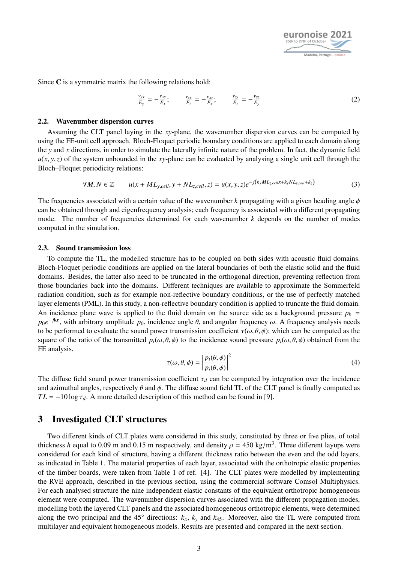

Since C is a symmetric matrix the following relations hold:

$$
\frac{\nu_{yx}}{E_y} = -\frac{\nu_{xy}}{E_x}; \qquad \frac{\nu_{zx}}{E_z} = -\frac{\nu_{xz}}{E_x}; \qquad \frac{\nu_{zy}}{E_z} = -\frac{\nu_{yz}}{E_y}
$$
(2)

#### 2.2. Wavenumber dispersion curves

Assuming the CLT panel laying in the *xy*-plane, the wavenumber dispersion curves can be computed by using the FE-unit cell approach. Bloch-Floquet periodic boundary conditions are applied to each domain along the *y* and *x* directions, in order to simulate the laterally infinite nature of the problem. In fact, the dynamic field  $u(x, y, z)$  of the system unbounded in the *xy*-plane can be evaluated by analysing a single unit cell through the Bloch–Floquet periodicity relations:

$$
\forall M, N \in \mathbb{Z} \qquad u(x + ML_{y,cell}, y + NL_{z,cell}, z) = u(x, y, z)e^{-j(k_x ML_{z,cell}x + k_y NL_{y,cell} + k_z)}
$$
(3)

The frequencies associated with a certain value of the wavenumber  $k$  propagating with a given heading angle  $\phi$ can be obtained through and eigenfrequency analysis; each frequency is associated with a different propagating mode. The number of frequencies determined for each wavenumber *k* depends on the number of modes computed in the simulation.

#### 2.3. Sound transmission loss

To compute the TL, the modelled structure has to be coupled on both sides with acoustic fluid domains. Bloch-Floquet periodic conditions are applied on the lateral boundaries of both the elastic solid and the fluid domains. Besides, the latter also need to be truncated in the orthogonal direction, preventing reflection from those boundaries back into the domains. Different techniques are available to approximate the Sommerfeld radiation condition, such as for example non-reflective boundary conditions, or the use of perfectly matched layer elements (PML). In this study, a non-reflective boundary condition is applied to truncate the fluid domain. An incidence plane wave is applied to the fluid domain on the source side as a background pressure  $p_b =$  $p_0e^{-jkr}$ , with arbitrary amplitude  $p_0$ , incidence angle  $\theta$ , and angular frequency  $\omega$ . A frequency analysis needs<br>to be performed to evaluate the sound power transmission coefficient  $\tau(\omega, \theta, \phi)$ ; which can be com to be performed to evaluate the sound power transmission coefficient  $\tau(\omega, \theta, \phi)$ ; which can be computed as the square of the ratio of the transmitted  $p_t(\omega, \theta, \phi)$  to the incidence sound pressure  $p_i(\omega, \theta, \phi)$  obtained from the FE analysis.

$$
\tau(\omega,\theta,\phi) = \left|\frac{p_t(\theta,\phi)}{p_i(\theta,\phi)}\right|^2
$$
\n(4)

The diffuse field sound power transmission coefficient  $\tau_d$  can be computed by integration over the incidence and azimuthal angles, respectively  $\theta$  and  $\phi$ . The diffuse sound field TL of the CLT panel is finally compu and azimuthal angles, respectively  $\theta$  and  $\phi$ . The diffuse sound field TL of the CLT panel is finally computed as  $TL = -10 \log \tau_d$ . A more detailed description of this method can be found in [\[9\]](#page-6-8).

#### <span id="page-2-0"></span>3 Investigated CLT structures

<span id="page-2-1"></span>Two different kinds of CLT plates were considered in this study, constituted by three or five plies, of total thickness *h* equal to 0.09 m and 0.15 m respectively, and density  $\rho = 450 \text{ kg/m}^3$ . Three different layups were<br>considered for each kind of structure, having a different thickness ratio between the even and the odd laye considered for each kind of structure, having a different thickness ratio between the even and the odd layers, as indicated in Table [1.](#page-3-0) The material properties of each layer, associated with the orthotropic elastic properties of the timber boards, were taken from Table 1 of ref. [\[4\]](#page-6-3). The CLT plates were modelled by implementing the RVE approach, described in the previous section, using the commercial software Comsol Multiphysics. For each analysed structure the nine independent elastic constants of the equivalent orthotropic homogeneous element were computed. The wavenumber dispersion curves associated with the different propagation modes, modelling both the layered CLT panels and the associated homogeneous orthotropic elements, were determined along the two principal and the 45 $\degree$  directions:  $k_x$ ,  $k_y$  and  $k_{45}$ . Moreover, also the TL were computed from multilayer and equivalent homogeneous models. Results are presented and compared in the next section.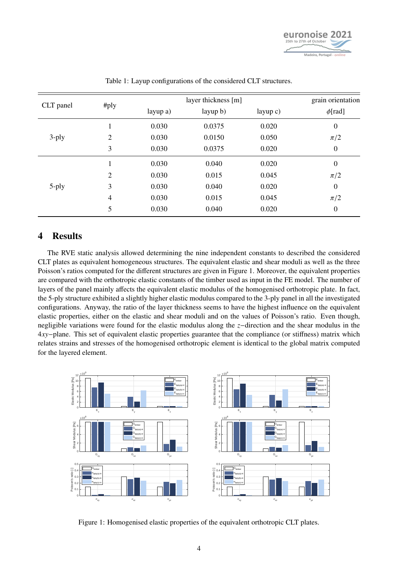

<span id="page-3-0"></span>

| CLT panel | #ply           | layer thickness [m] |          |            | grain orientation |
|-----------|----------------|---------------------|----------|------------|-------------------|
|           |                | layup a)            | layup b) | layup $c)$ | $\phi$ [rad]      |
| $3$ -ply  | 1              | 0.030               | 0.0375   | 0.020      | $\boldsymbol{0}$  |
|           | 2              | 0.030               | 0.0150   | 0.050      | $\pi/2$           |
|           | 3              | 0.030               | 0.0375   | 0.020      | $\boldsymbol{0}$  |
| $5$ -ply  | 1              | 0.030               | 0.040    | 0.020      | $\boldsymbol{0}$  |
|           | 2              | 0.030               | 0.015    | 0.045      | $\pi/2$           |
|           | 3              | 0.030               | 0.040    | 0.020      | $\boldsymbol{0}$  |
|           | $\overline{4}$ | 0.030               | 0.015    | 0.045      | $\pi/2$           |
|           | 5              | 0.030               | 0.040    | 0.020      | $\overline{0}$    |

Table 1: Layup configurations of the considered CLT structures.

### 4 Results

The RVE static analysis allowed determining the nine independent constants to described the considered CLT plates as equivalent homogeneous structures. The equivalent elastic and shear moduli as well as the three Poisson's ratios computed for the different structures are given in Figure [1.](#page-3-1) Moreover, the equivalent properties are compared with the orthotropic elastic constants of the timber used as input in the FE model. The number of layers of the panel mainly affects the equivalent elastic modulus of the homogenised orthotropic plate. In fact, the 5-ply structure exhibited a slightly higher elastic modulus compared to the 3-ply panel in all the investigated configurations. Anyway, the ratio of the layer thickness seems to have the highest influence on the equivalent elastic properties, either on the elastic and shear moduli and on the values of Poisson's ratio. Even though, negligible variations were found for the elastic modulus along the *z*−direction and the shear modulus in the 4*xy*−plane. This set of equivalent elastic properties guarantee that the compliance (or stiffness) matrix which relates strains and stresses of the homogenised orthotropic element is identical to the global matrix computed for the layered element.

<span id="page-3-1"></span>

Figure 1: Homogenised elastic properties of the equivalent orthotropic CLT plates.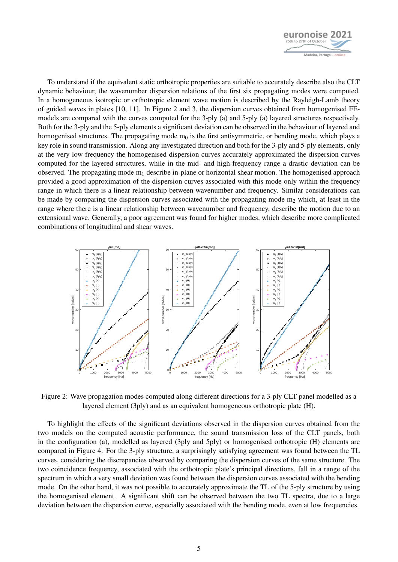

To understand if the equivalent static orthotropic properties are suitable to accurately describe also the CLT dynamic behaviour, the wavenumber dispersion relations of the first six propagating modes were computed. In a homogeneous isotropic or orthotropic element wave motion is described by the Rayleigh-Lamb theory of guided waves in plates [\[10,](#page-6-9) [11\]](#page-6-10). In Figure [2](#page-4-0) and [3,](#page-5-0) the dispersion curves obtained from homogenised FEmodels are compared with the curves computed for the 3-ply (a) and 5-ply (a) layered structures respectively. Both for the 3-ply and the 5-ply elements a significant deviation can be observed in the behaviour of layered and homogenised structures. The propagating mode  $m_0$  is the first antisymmetric, or bending mode, which plays a key role in sound transmission. Along any investigated direction and both for the 3-ply and 5-ply elements, only at the very low frequency the homogenised dispersion curves accurately approximated the dispersion curves computed for the layered structures, while in the mid- and high-frequency range a drastic deviation can be observed. The propagating mode  $m_1$  describe in-plane or horizontal shear motion. The homogenised approach provided a good approximation of the dispersion curves associated with this mode only within the frequency range in which there is a linear relationship between wavenumber and frequency. Similar considerations can be made by comparing the dispersion curves associated with the propagating mode  $m_2$  which, at least in the range where there is a linear relationship between wavenumber and frequency, describe the motion due to an extensional wave. Generally, a poor agreement was found for higher modes, which describe more complicated combinations of longitudinal and shear waves.

<span id="page-4-0"></span>

Figure 2: Wave propagation modes computed along different directions for a 3-ply CLT panel modelled as a layered element (3ply) and as an equivalent homogeneous orthotropic plate (H).

To highlight the effects of the significant deviations observed in the dispersion curves obtained from the two models on the computed acoustic performance, the sound transmission loss of the CLT panels, both in the configuration (a), modelled as layered (3ply and 5ply) or homogenised orthotropic (H) elements are compared in Figure [4.](#page-5-1) For the 3-ply structure, a surprisingly satisfying agreement was found between the TL curves, considering the discrepancies observed by comparing the dispersion curves of the same structure. The two coincidence frequency, associated with the orthotropic plate's principal directions, fall in a range of the spectrum in which a very small deviation was found between the dispersion curves associated with the bending mode. On the other hand, it was not possible to accurately approximate the TL of the 5-ply structure by using the homogenised element. A significant shift can be observed between the two TL spectra, due to a large deviation between the dispersion curve, especially associated with the bending mode, even at low frequencies.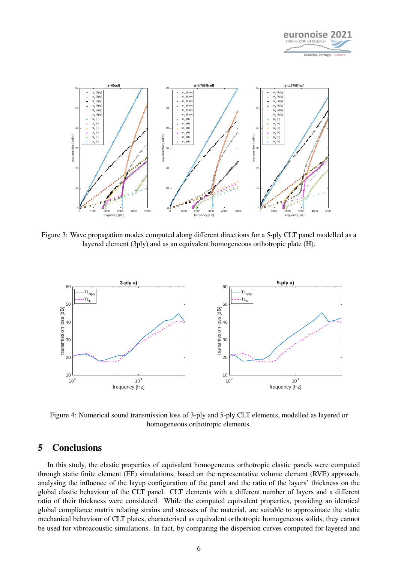

<span id="page-5-0"></span>

<span id="page-5-1"></span>Figure 3: Wave propagation modes computed along different directions for a 5-ply CLT panel modelled as a layered element (3ply) and as an equivalent homogeneous orthotropic plate (H).



Figure 4: Numerical sound transmission loss of 3-ply and 5-ply CLT elements, modelled as layered or homogeneous orthotropic elements.

### 5 Conclusions

In this study, the elastic properties of equivalent homogeneous orthotropic elastic panels were computed through static finite element (FE) simulations, based on the representative volume element (RVE) approach, analysing the influence of the layup configuration of the panel and the ratio of the layers' thickness on the global elastic behaviour of the CLT panel. CLT elements with a different number of layers and a different ratio of their thickness were considered. While the computed equivalent properties, providing an identical global compliance matrix relating strains and stresses of the material, are suitable to approximate the static mechanical behaviour of CLT plates, characterised as equivalent orthotropic homogeneous solids, they cannot be used for vibroacoustic simulations. In fact, by comparing the dispersion curves computed for layered and